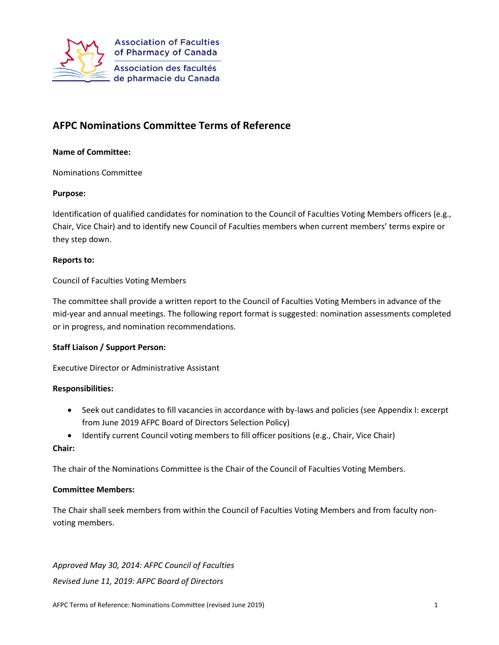

# **AFPC Nominations Committee Terms of Reference**

## **Name of Committee:**

Nominations Committee

### **Purpose:**

Identification of qualified candidates for nomination to the Council of Faculties Voting Members officers (e.g., Chair, Vice Chair) and to identify new Council of Faculties members when current members' terms expire or they step down.

### **Reports to:**

Council of Faculties Voting Members

The committee shall provide a written report to the Council of Faculties Voting Members in advance of the mid-year and annual meetings. The following report format is suggested: nomination assessments completed or in progress, and nomination recommendations.

### **Staff Liaison / Support Person:**

Executive Director or Administrative Assistant

### **Responsibilities:**

- Seek out candidates to fill vacancies in accordance with by-laws and policies (see Appendix I: excerpt from June 2019 AFPC Board of Directors Selection Policy)
- Identify current Council voting members to fill officer positions (e.g., Chair, Vice Chair)

### **Chair:**

The chair of the Nominations Committee is the Chair of the Council of Faculties Voting Members.

### **Committee Members:**

The Chair shall seek members from within the Council of Faculties Voting Members and from faculty nonvoting members.

*Approved May 30, 2014: AFPC Council of Faculties Revised June 11, 2019: AFPC Board of Directors*